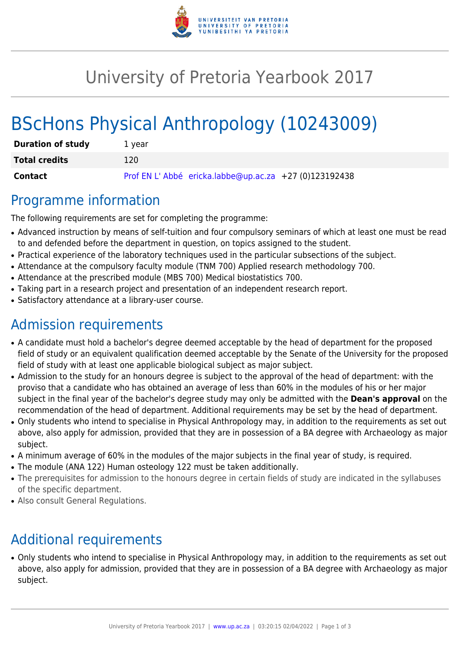

# University of Pretoria Yearbook 2017

# BScHons Physical Anthropology (10243009)

| <b>Duration of study</b> | 1 year                                                |
|--------------------------|-------------------------------------------------------|
| <b>Total credits</b>     | 120                                                   |
| <b>Contact</b>           | Prof EN L'Abbé ericka.labbe@up.ac.za +27 (0)123192438 |

### Programme information

The following requirements are set for completing the programme:

- Advanced instruction by means of self-tuition and four compulsory seminars of which at least one must be read to and defended before the department in question, on topics assigned to the student.
- Practical experience of the laboratory techniques used in the particular subsections of the subject.
- Attendance at the compulsory faculty module (TNM 700) Applied research methodology 700.
- Attendance at the prescribed module (MBS 700) Medical biostatistics 700.
- Taking part in a research project and presentation of an independent research report.
- Satisfactory attendance at a library-user course.

## Admission requirements

- A candidate must hold a bachelor's degree deemed acceptable by the head of department for the proposed field of study or an equivalent qualification deemed acceptable by the Senate of the University for the proposed field of study with at least one applicable biological subject as major subject.
- Admission to the study for an honours degree is subject to the approval of the head of department: with the proviso that a candidate who has obtained an average of less than 60% in the modules of his or her major subject in the final year of the bachelor's degree study may only be admitted with the **Dean's approval** on the recommendation of the head of department. Additional requirements may be set by the head of department.
- Only students who intend to specialise in Physical Anthropology may, in addition to the requirements as set out above, also apply for admission, provided that they are in possession of a BA degree with Archaeology as major subject.
- A minimum average of 60% in the modules of the major subjects in the final year of study, is required.
- The module (ANA 122) Human osteology 122 must be taken additionally.
- The prerequisites for admission to the honours degree in certain fields of study are indicated in the syllabuses of the specific department.
- Also consult General Regulations.

# Additional requirements

• Only students who intend to specialise in Physical Anthropology may, in addition to the requirements as set out above, also apply for admission, provided that they are in possession of a BA degree with Archaeology as major subject.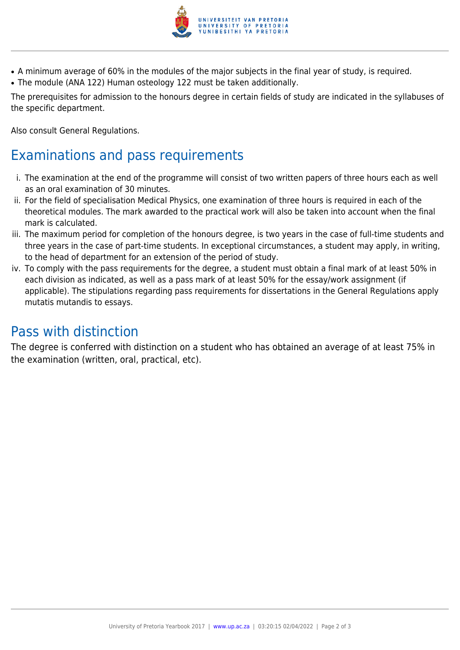

- A minimum average of 60% in the modules of the major subjects in the final year of study, is required.
- The module (ANA 122) Human osteology 122 must be taken additionally.

The prerequisites for admission to the honours degree in certain fields of study are indicated in the syllabuses of the specific department.

Also consult General Regulations.

## Examinations and pass requirements

- i. The examination at the end of the programme will consist of two written papers of three hours each as well as an oral examination of 30 minutes.
- ii. For the field of specialisation Medical Physics, one examination of three hours is required in each of the theoretical modules. The mark awarded to the practical work will also be taken into account when the final mark is calculated.
- iii. The maximum period for completion of the honours degree, is two years in the case of full-time students and three years in the case of part-time students. In exceptional circumstances, a student may apply, in writing, to the head of department for an extension of the period of study.
- iv. To comply with the pass requirements for the degree, a student must obtain a final mark of at least 50% in each division as indicated, as well as a pass mark of at least 50% for the essay/work assignment (if applicable). The stipulations regarding pass requirements for dissertations in the General Regulations apply mutatis mutandis to essays.

### Pass with distinction

The degree is conferred with distinction on a student who has obtained an average of at least 75% in the examination (written, oral, practical, etc).